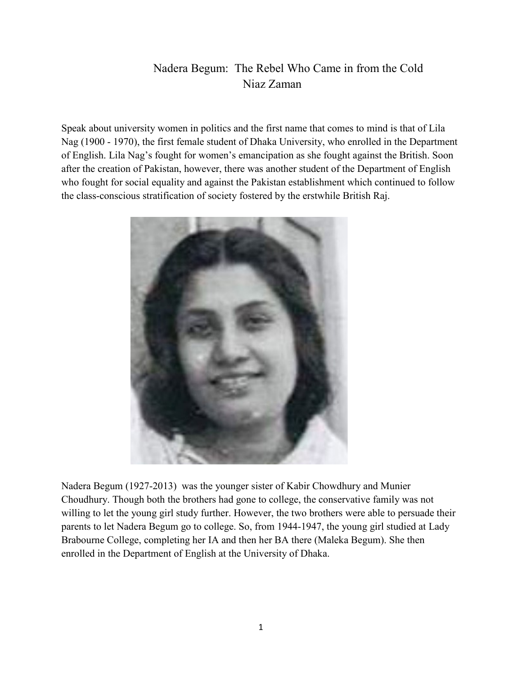## Nadera Begum: The Rebel Who Came in from the Cold Niaz Zaman

Speak about university women in politics and the first name that comes to mind is that of Lila Nag (1900 - 1970), the first female student of Dhaka University, who enrolled in the Department of English. Lila Nag's fought for women's emancipation as she fought against the British. Soon after the creation of Pakistan, however, there was another student of the Department of English who fought for social equality and against the Pakistan establishment which continued to follow the class-conscious stratification of society fostered by the erstwhile British Raj.



Nadera Begum (1927-2013) was the younger sister of Kabir Chowdhury and Munier Choudhury. Though both the brothers had gone to college, the conservative family was not willing to let the young girl study further. However, the two brothers were able to persuade their parents to let Nadera Begum go to college. So, from 1944-1947, the young girl studied at Lady Brabourne College, completing her IA and then her BA there (Maleka Begum). She then enrolled in the Department of English at the University of Dhaka.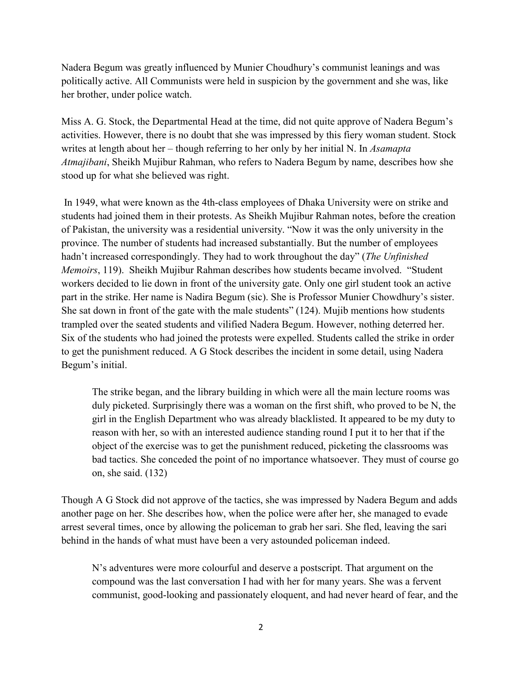Nadera Begum was greatly influenced by Munier Choudhury's communist leanings and was politically active. All Communists were held in suspicion by the government and she was, like her brother, under police watch.

Miss A. G. Stock, the Departmental Head at the time, did not quite approve of Nadera Begum's activities. However, there is no doubt that she was impressed by this fiery woman student. Stock writes at length about her – though referring to her only by her initial N. In *Asamapta Atmajibani*, Sheikh Mujibur Rahman, who refers to Nadera Begum by name, describes how she stood up for what she believed was right.

In 1949, what were known as the 4th-class employees of Dhaka University were on strike and students had joined them in their protests. As Sheikh Mujibur Rahman notes, before the creation of Pakistan, the university was a residential university. "Now it was the only university in the province. The number of students had increased substantially. But the number of employees hadn't increased correspondingly. They had to work throughout the day" (*The Unfinished Memoirs*, 119). Sheikh Mujibur Rahman describes how students became involved. "Student workers decided to lie down in front of the university gate. Only one girl student took an active part in the strike. Her name is Nadira Begum (sic). She is Professor Munier Chowdhury's sister. She sat down in front of the gate with the male students" (124). Mujib mentions how students trampled over the seated students and vilified Nadera Begum. However, nothing deterred her. Six of the students who had joined the protests were expelled. Students called the strike in order to get the punishment reduced. A G Stock describes the incident in some detail, using Nadera Begum's initial.

The strike began, and the library building in which were all the main lecture rooms was duly picketed. Surprisingly there was a woman on the first shift, who proved to be N, the girl in the English Department who was already blacklisted. It appeared to be my duty to reason with her, so with an interested audience standing round I put it to her that if the object of the exercise was to get the punishment reduced, picketing the classrooms was bad tactics. She conceded the point of no importance whatsoever. They must of course go on, she said. (132)

Though A G Stock did not approve of the tactics, she was impressed by Nadera Begum and adds another page on her. She describes how, when the police were after her, she managed to evade arrest several times, once by allowing the policeman to grab her sari. She fled, leaving the sari behind in the hands of what must have been a very astounded policeman indeed.

N's adventures were more colourful and deserve a postscript. That argument on the compound was the last conversation I had with her for many years. She was a fervent communist, good-looking and passionately eloquent, and had never heard of fear, and the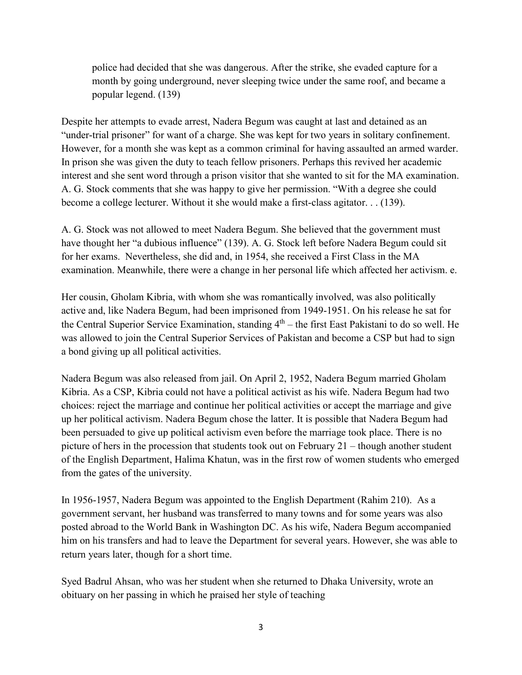police had decided that she was dangerous. After the strike, she evaded capture for a month by going underground, never sleeping twice under the same roof, and became a popular legend. (139)

Despite her attempts to evade arrest, Nadera Begum was caught at last and detained as an "under-trial prisoner" for want of a charge. She was kept for two years in solitary confinement. However, for a month she was kept as a common criminal for having assaulted an armed warder. In prison she was given the duty to teach fellow prisoners. Perhaps this revived her academic interest and she sent word through a prison visitor that she wanted to sit for the MA examination. A. G. Stock comments that she was happy to give her permission. "With a degree she could become a college lecturer. Without it she would make a first-class agitator. . . (139).

A. G. Stock was not allowed to meet Nadera Begum. She believed that the government must have thought her "a dubious influence" (139). A. G. Stock left before Nadera Begum could sit for her exams. Nevertheless, she did and, in 1954, she received a First Class in the MA examination. Meanwhile, there were a change in her personal life which affected her activism. e.

Her cousin, Gholam Kibria, with whom she was romantically involved, was also politically active and, like Nadera Begum, had been imprisoned from 1949-1951. On his release he sat for the Central Superior Service Examination, standing  $4<sup>th</sup>$  – the first East Pakistani to do so well. He was allowed to join the Central Superior Services of Pakistan and become a CSP but had to sign a bond giving up all political activities.

Nadera Begum was also released from jail. On April 2, 1952, Nadera Begum married Gholam Kibria. As a CSP, Kibria could not have a political activist as his wife. Nadera Begum had two choices: reject the marriage and continue her political activities or accept the marriage and give up her political activism. Nadera Begum chose the latter. It is possible that Nadera Begum had been persuaded to give up political activism even before the marriage took place. There is no picture of hers in the procession that students took out on February 21 – though another student of the English Department, Halima Khatun, was in the first row of women students who emerged from the gates of the university.

In 1956-1957, Nadera Begum was appointed to the English Department (Rahim 210). As a government servant, her husband was transferred to many towns and for some years was also posted abroad to the World Bank in Washington DC. As his wife, Nadera Begum accompanied him on his transfers and had to leave the Department for several years. However, she was able to return years later, though for a short time.

Syed Badrul Ahsan, who was her student when she returned to Dhaka University, wrote an obituary on her passing in which he praised her style of teaching